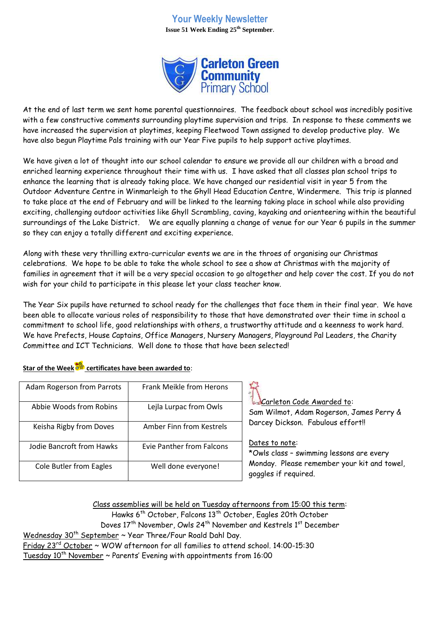## **Your Weekly Newsletter Issue 51 Week Ending 25th September**.



At the end of last term we sent home parental questionnaires. The feedback about school was incredibly positive with a few constructive comments surrounding playtime supervision and trips. In response to these comments we have increased the supervision at playtimes, keeping Fleetwood Town assigned to develop productive play. We have also begun Playtime Pals training with our Year Five pupils to help support active playtimes.

We have given a lot of thought into our school calendar to ensure we provide all our children with a broad and enriched learning experience throughout their time with us. I have asked that all classes plan school trips to enhance the learning that is already taking place. We have changed our residential visit in year 5 from the Outdoor Adventure Centre in Winmarleigh to the Ghyll Head Education Centre, Windermere. This trip is planned to take place at the end of February and will be linked to the learning taking place in school while also providing exciting, challenging outdoor activities like Ghyll Scrambling, caving, kayaking and orienteering within the beautiful surroundings of the Lake District. We are equally planning a change of venue for our Year 6 pupils in the summer so they can enjoy a totally different and exciting experience.

Along with these very thrilling extra-curricular events we are in the throes of organising our Christmas celebrations. We hope to be able to take the whole school to see a show at Christmas with the majority of families in agreement that it will be a very special occasion to go altogether and help cover the cost. If you do not wish for your child to participate in this please let your class teacher know.

The Year Six pupils have returned to school ready for the challenges that face them in their final year. We have been able to allocate various roles of responsibility to those that have demonstrated over their time in school a commitment to school life, good relationships with others, a trustworthy attitude and a keenness to work hard. We have Prefects, House Captains, Office Managers, Nursery Managers, Playground Pal Leaders, the Charity Committee and ICT Technicians. Well done to those that have been selected!

| Adam Rogerson from Parrots | Frank Meikle from Herons  | 41<br>Carleton Code Awarded to:<br>Sam Wilmot, Adam Rogerson, James Perry & |
|----------------------------|---------------------------|-----------------------------------------------------------------------------|
| Abbie Woods from Robins    | Lejla Lurpac from Owls    |                                                                             |
| Keisha Rigby from Doves    | Amber Finn from Kestrels  | Darcey Dickson. Fabulous effort!!                                           |
| Jodie Bancroft from Hawks  | Evie Panther from Falcons | Dates to note:<br>*Owls class - swimming lessons are every                  |
| Cole Butler from Eagles    | Well done everyone!       | Monday. Please remember your kit and towel,<br>goggles if required.         |

**Star of the Week certificates have been awarded to**:

Class assemblies will be held on Tuesday afternoons from 15:00 this term: Hawks 6<sup>th</sup> October, Falcons 13<sup>th</sup> October, Eagles 20th October

Doves 17<sup>th</sup> November, Owls 24<sup>th</sup> November and Kestrels 1<sup>st</sup> December

Wednesday  $30<sup>th</sup>$  September ~ Year Three/Four Roald Dahl Day.

Friday 23 $^{\rm rd}$  October ~ WOW afternoon for all families to attend school. 14:00-15:30 Tuesday  $10^{th}$  November  $\sim$  Parents' Evening with appointments from 16:00